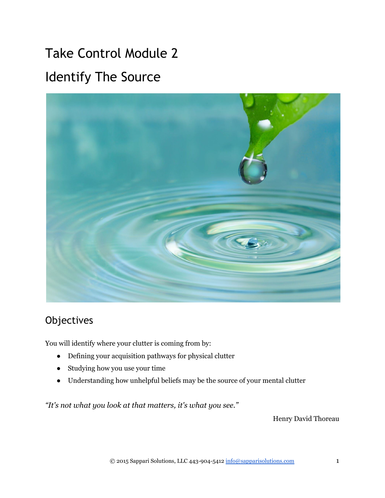# Take Control Module 2 Identify The Source



## **Objectives**

You will identify where your clutter is coming from by:

- Defining your acquisition pathways for physical clutter
- Studying how you use your time
- Understanding how unhelpful beliefs may be the source of your mental clutter

*"It's not what you look at that matters, it's what you see."*

Henry David Thoreau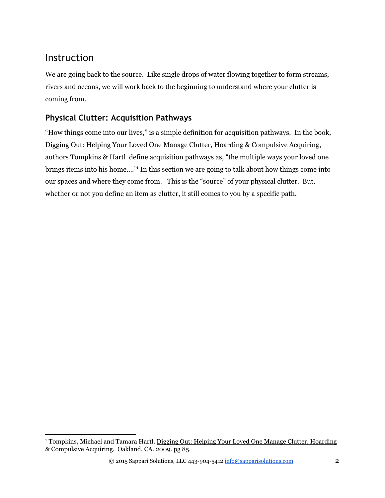### Instruction

We are going back to the source. Like single drops of water flowing together to form streams, rivers and oceans, we will work back to the beginning to understand where your clutter is coming from.

#### **Physical Clutter: Acquisition Pathways**

"How things come into our lives," is a simple definition for acquisition pathways. In the book, Digging Out: Helping Your Loved One Manage Clutter, Hoarding & Compulsive Acquiring, authors Tompkins & Hartl define acquisition pathways as, "the multiple ways your loved one brings items into his home...." In this section we are going to talk about how things come into our spaces and where they come from. This is the "source" of your physical clutter. But, whether or not you define an item as clutter, it still comes to you by a specific path.

<sup>&</sup>lt;sup>1</sup> Tompkins, Michael and Tamara Hartl. <u>Digging Out: Helping Your Loved One Manage Clutter, Hoarding</u> & Compulsive Acquiring. Oakland, CA. 2009. pg 85.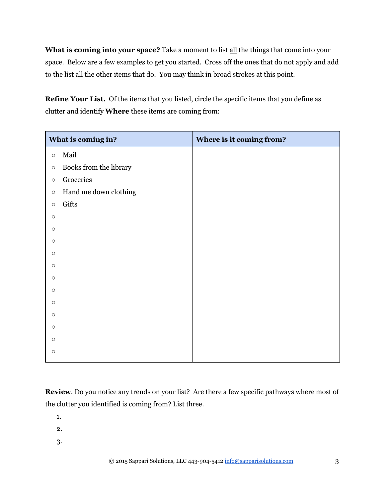**What is coming into your space?** Take a moment to list all the things that come into your space. Below are a few examples to get you started. Cross off the ones that do not apply and add to the list all the other items that do. You may think in broad strokes at this point.

**Refine Your List.** Of the items that you listed, circle the specific items that you define as clutter and identify **Where** these items are coming from:

| What is coming in? |                        | Where is it coming from? |
|--------------------|------------------------|--------------------------|
| $\circ$            | Mail                   |                          |
| $\circ$            | Books from the library |                          |
| $\circ$            | Groceries              |                          |
| $\circ$            | Hand me down clothing  |                          |
| $\circ$            | Gifts                  |                          |
| $\circ$            |                        |                          |
| $\circ$            |                        |                          |
| $\circ$            |                        |                          |
| $\circ$            |                        |                          |
| $\circ$            |                        |                          |
| $\circ$            |                        |                          |
| $\circ$            |                        |                          |
| $\circ$            |                        |                          |
| $\circ$            |                        |                          |
| $\circ$            |                        |                          |
| $\circ$            |                        |                          |
| $\circ$            |                        |                          |
|                    |                        |                          |

**Review**. Do you notice any trends on your list? Are there a few specific pathways where most of the clutter you identified is coming from? List three.

1.

2.

3.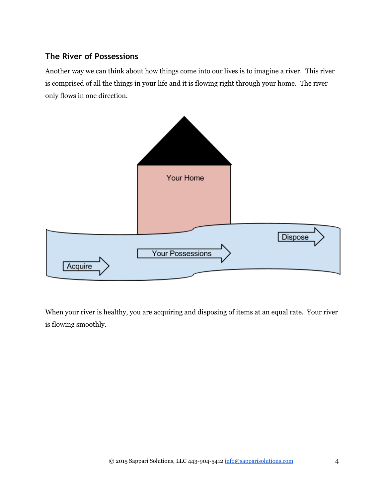#### **The River of Possessions**

Another way we can think about how things come into our lives is to imagine a river. This river is comprised of all the things in your life and it is flowing right through your home. The river only flows in one direction.



When your river is healthy, you are acquiring and disposing of items at an equal rate. Your river is flowing smoothly.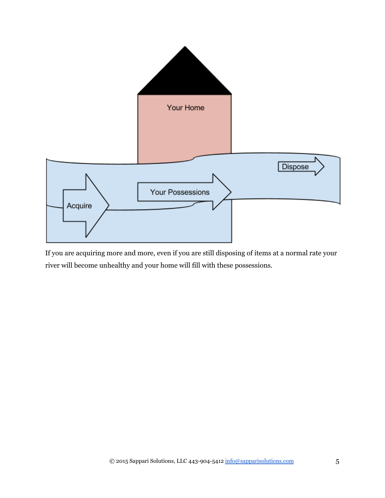

If you are acquiring more and more, even if you are still disposing of items at a normal rate your river will become unhealthy and your home will fill with these possessions.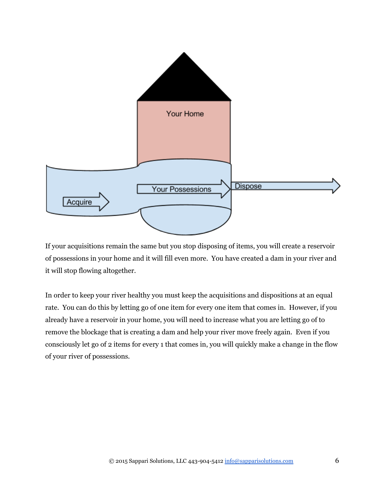

If your acquisitions remain the same but you stop disposing of items, you will create a reservoir of possessions in your home and it will fill even more. You have created a dam in your river and it will stop flowing altogether.

In order to keep your river healthy you must keep the acquisitions and dispositions at an equal rate. You can do this by letting go of one item for every one item that comes in. However, if you already have a reservoir in your home, you will need to increase what you are letting go of to remove the blockage that is creating a dam and help your river move freely again. Even if you consciously let go of 2 items for every 1 that comes in, you will quickly make a change in the flow of your river of possessions.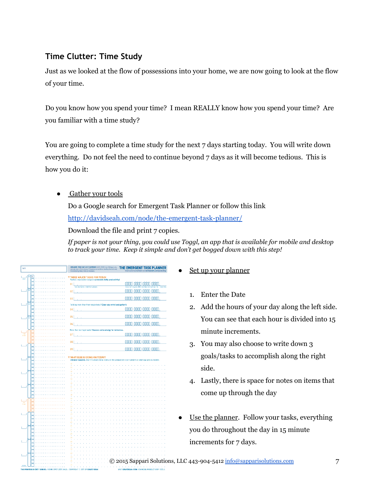#### **Time Clutter: Time Study**

Just as we looked at the flow of possessions into your home, we are now going to look at the flow of your time.

Do you know how you spend your time? I mean REALLY know how you spend your time? Are you familiar with a time study?

You are going to complete a time study for the next 7 days starting today. You will write down everything. Do not feel the need to continue beyond 7 days as it will become tedious. This is how you do it:

• Gather your tools

Do a Google search for Emergent Task Planner or follow this link http://davidseah.com/node/the-emergent-task-planner/

Download the file and print 7 copies.

*If paper is not your thing, you could use Toggl, an app that is available for mobile and desktop to track your time. Keep it simple and don't get bogged down with this step!*

| DATE                                                                      | ORGANIZE YOUR DAY AS IT HAPPENSE QUICK START: Ltd. 3 things to do, estimate time in Timite Stocks. Fill bubbles to track time. Use Day God (wit side)<br>aling. Kineg notes as necessary | THE EMERGENT TASK PLANNER<br>instructions available at davidseah.com/pceo/etp |
|---------------------------------------------------------------------------|------------------------------------------------------------------------------------------------------------------------------------------------------------------------------------------|-------------------------------------------------------------------------------|
| s<br>اسببنا                                                               | <b>THREE MAJOR TASKS FOR TODAY</b><br>Realistic expectations equals consistent daily productivity!                                                                                       |                                                                               |
|                                                                           | 01                                                                                                                                                                                       | 0000 0000 0000 0000                                                           |
| ø<br>السسا                                                                | ink fesciption, inderfiler satilisis s<br>02                                                                                                                                             | Total Limit<br>0000 0000 0000 0000                                            |
|                                                                           |                                                                                                                                                                                          |                                                                               |
|                                                                           | 03                                                                                                                                                                                       | 0000<br>mnr                                                                   |
| m<br>لسبيا                                                                | Tackling more than three major tasks? Clear your mind and go for it.                                                                                                                     |                                                                               |
|                                                                           | 04                                                                                                                                                                                       | 0000 0000 0000 0000                                                           |
| lα<br>$L_{\text{model}}$                                                  | 05                                                                                                                                                                                       | 0000 0000 0000 0000                                                           |
|                                                                           | 06                                                                                                                                                                                       | 0000 0000 0000 0000                                                           |
|                                                                           | More than six major tasks? Reserve some energy for tomorrow.                                                                                                                             |                                                                               |
| اسببا                                                                     | 87                                                                                                                                                                                       | 0000<br>oooo<br>noon<br>mm                                                    |
|                                                                           |                                                                                                                                                                                          | oooo<br>anon oona anon                                                        |
| السسا                                                                     | 88                                                                                                                                                                                       |                                                                               |
|                                                                           | 89                                                                                                                                                                                       | 0000<br>ODO<br>nnm                                                            |
|                                                                           | <b>WHAT ELSE IS GOING ON TODAY?</b>                                                                                                                                                      |                                                                               |
| لسبيا                                                                     | Life just happens. Use this area to keep notes on the unexpected. Use numbers to label day grid as needed.<br>Ιš                                                                         |                                                                               |
|                                                                           | ×<br>ņ                                                                                                                                                                                   |                                                                               |
| 1                                                                         | 12                                                                                                                                                                                       |                                                                               |
|                                                                           | 13<br>Ħ                                                                                                                                                                                  |                                                                               |
|                                                                           | в                                                                                                                                                                                        |                                                                               |
| i.,<br>I                                                                  | D                                                                                                                                                                                        |                                                                               |
|                                                                           | Ιŝ                                                                                                                                                                                       |                                                                               |
|                                                                           | tš                                                                                                                                                                                       |                                                                               |
| $\begin{array}{c}\n\frac{1}{\sqrt{2}} \\ \frac{1}{\sqrt{2}}\n\end{array}$ | ĉ<br>z                                                                                                                                                                                   |                                                                               |
|                                                                           | 23                                                                                                                                                                                       |                                                                               |
|                                                                           | 21<br>ż                                                                                                                                                                                  |                                                                               |
|                                                                           |                                                                                                                                                                                          |                                                                               |
|                                                                           | 21<br>21                                                                                                                                                                                 |                                                                               |
|                                                                           |                                                                                                                                                                                          |                                                                               |
|                                                                           | ×                                                                                                                                                                                        |                                                                               |
|                                                                           | 3<br>33                                                                                                                                                                                  |                                                                               |
|                                                                           | 32                                                                                                                                                                                       |                                                                               |
| f                                                                         | à.                                                                                                                                                                                       |                                                                               |
|                                                                           |                                                                                                                                                                                          | C 2015 Sappari Solutions,                                                     |
| anima                                                                     |                                                                                                                                                                                          |                                                                               |
|                                                                           |                                                                                                                                                                                          |                                                                               |

- Set up your planner
	- 1. Enter the Date
	- 2. Add the hours of your day along the left side. You can see that each hour is divided into 15 minute increments.
	- 3. You may also choose to write down 3 goals/tasks to accomplish along the right side.
	- 4. Lastly, there is space for notes on items that come up through the day
- Use the planner. Follow your tasks, everything you do throughout the day in 15 minute increments for 7 days.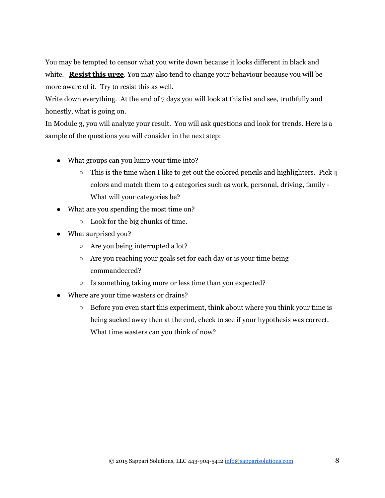You may be tempted to censor what you write down because it looks different in black and white. **Resist this urge**. You may also tend to change your behaviour because you will be more aware of it. Try to resist this as well.

Write down everything. At the end of 7 days you will look at this list and see, truthfully and honestly, what is going on.

In Module 3, you will analyze your result. You will ask questions and look for trends. Here is a sample of the questions you will consider in the next step:

- What groups can you lump your time into?
	- $\circ$  This is the time when I like to get out the colored pencils and highlighters. Pick 4 colors and match them to 4 categories such as work, personal, driving, family What will your categories be?
- What are you spending the most time on?
	- $\circ$  Look for the big chunks of time.
- What surprised you?
	- Are you being interrupted a lot?
	- Are you reaching your goals set for each day or is your time being commandeered?
	- Is something taking more or less time than you expected?
- Where are your time wasters or drains?
	- Before you even start this experiment, think about where you think your time is being sucked away then at the end, check to see if your hypothesis was correct. What time wasters can you think of now?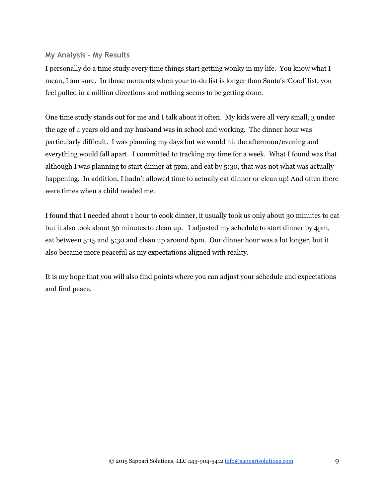#### **My Analysis ‐ My Results**

I personally do a time study every time things start getting wonky in my life. You know what I mean, I am sure. In those moments when your to-do list is longer than Santa's 'Good' list, you feel pulled in a million directions and nothing seems to be getting done.

One time study stands out for me and I talk about it often. My kids were all very small, 3 under the age of 4 years old and my husband was in school and working. The dinner hour was particularly difficult. I was planning my days but we would hit the afternoon/evening and everything would fall apart. I committed to tracking my time for a week. What I found was that although I was planning to start dinner at 5pm, and eat by 5:30, that was not what was actually happening. In addition, I hadn't allowed time to actually eat dinner or clean up! And often there were times when a child needed me.

I found that I needed about 1 hour to cook dinner, it usually took us only about 30 minutes to eat but it also took about 30 minutes to clean up. I adjusted my schedule to start dinner by 4pm, eat between 5:15 and 5:30 and clean up around 6pm. Our dinner hour was a lot longer, but it also became more peaceful as my expectations aligned with reality.

It is my hope that you will also find points where you can adjust your schedule and expectations and find peace.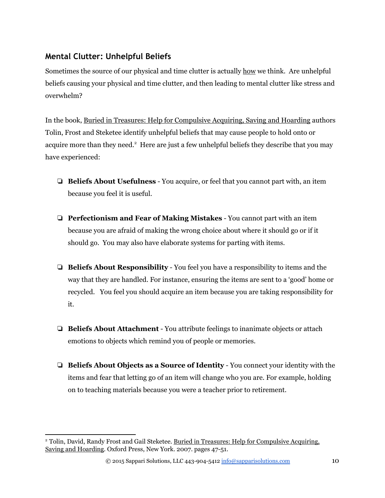#### **Mental Clutter: Unhelpful Beliefs**

Sometimes the source of our physical and time clutter is actually how we think. Are unhelpful beliefs causing your physical and time clutter, and then leading to mental clutter like stress and overwhelm?

In the book, Buried in Treasures: Help for Compulsive Acquiring, Saving and Hoarding authors Tolin, Frost and Steketee identify unhelpful beliefs that may cause people to hold onto or acquire more than they need.<sup>2</sup> Here are just a few unhelpful beliefs they describe that you may have experienced:

- ❏ **Beliefs About Usefulness** You acquire, or feel that you cannot part with, an item because you feel it is useful.
- ❏ **Perfectionism and Fear of Making Mistakes** You cannot part with an item because you are afraid of making the wrong choice about where it should go or if it should go. You may also have elaborate systems for parting with items.
- ❏ **Beliefs About Responsibility** You feel you have a responsibility to items and the way that they are handled. For instance, ensuring the items are sent to a 'good' home or recycled. You feel you should acquire an item because you are taking responsibility for it.
- ❏ **Beliefs About Attachment** You attribute feelings to inanimate objects or attach emotions to objects which remind you of people or memories.
- ❏ **Beliefs About Objects as a Source of Identity** You connect your identity with the items and fear that letting go of an item will change who you are. For example, holding on to teaching materials because you were a teacher prior to retirement.

<sup>&</sup>lt;sup>2</sup> Tolin, David, Randy Frost and Gail Steketee. <u>Buried in Treasures: Help for Compulsive Acquiring,</u> Saving and Hoarding. Oxford Press, New York. 2007. pages 47-51.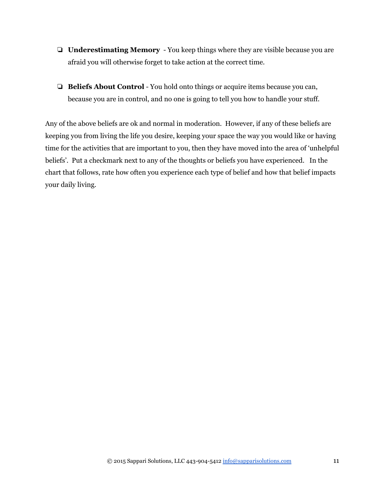- ❏ **Underestimating Memory** You keep things where they are visible because you are afraid you will otherwise forget to take action at the correct time.
- **□ Beliefs About Control** You hold onto things or acquire items because you can, because you are in control, and no one is going to tell you how to handle your stuff.

Any of the above beliefs are ok and normal in moderation. However, if any of these beliefs are keeping you from living the life you desire, keeping your space the way you would like or having time for the activities that are important to you, then they have moved into the area of 'unhelpful beliefs'. Put a checkmark next to any of the thoughts or beliefs you have experienced. In the chart that follows, rate how often you experience each type of belief and how that belief impacts your daily living.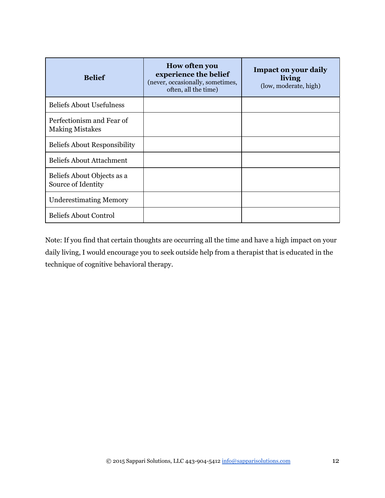| <b>Belief</b>                                       | <b>How often you</b><br>experience the belief<br>(never, occasionally, sometimes,<br>often, all the time) | <b>Impact on your daily</b><br>living<br>(low, moderate, high) |
|-----------------------------------------------------|-----------------------------------------------------------------------------------------------------------|----------------------------------------------------------------|
| <b>Beliefs About Usefulness</b>                     |                                                                                                           |                                                                |
| Perfectionism and Fear of<br><b>Making Mistakes</b> |                                                                                                           |                                                                |
| <b>Beliefs About Responsibility</b>                 |                                                                                                           |                                                                |
| Beliefs About Attachment                            |                                                                                                           |                                                                |
| Beliefs About Objects as a<br>Source of Identity    |                                                                                                           |                                                                |
| <b>Underestimating Memory</b>                       |                                                                                                           |                                                                |
| <b>Beliefs About Control</b>                        |                                                                                                           |                                                                |

Note: If you find that certain thoughts are occurring all the time and have a high impact on your daily living, I would encourage you to seek outside help from a therapist that is educated in the technique of cognitive behavioral therapy.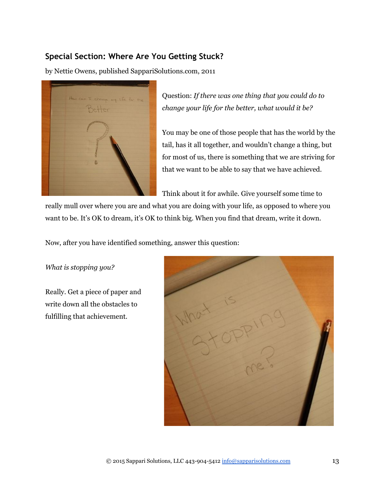#### **Special Section: Where Are You Getting Stuck?**

by Nettie Owens, published SappariSolutions.com, 2011



Question: *If there was one thing that you could do to change your life for the better, what would it be?*

You may be one of those people that has the world by the tail, has it all together, and wouldn't change a thing, but for most of us, there is something that we are striving for that we want to be able to say that we have achieved.

Think about it for awhile. Give yourself some time to

really mull over where you are and what you are doing with your life, as opposed to where you want to be. It's OK to dream, it's OK to think big. When you find that dream, write it down.

Now, after you have identified something, answer this question:

*What is stopping you?*

Really. Get a piece of paper and write down all the obstacles to fulfilling that achievement.

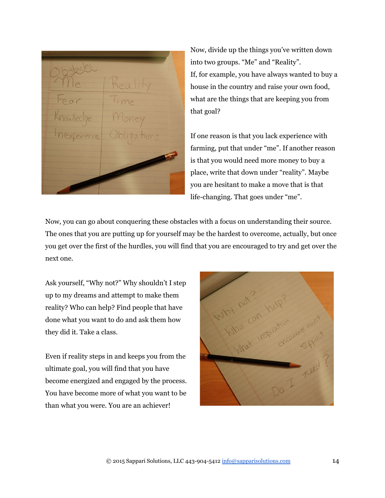Now, divide up the things you've written down into two groups. "Me" and "Reality". If, for example, you have always wanted to buy a house in the country and raise your own food, what are the things that are keeping you from that goal?

If one reason is that you lack experience with farming, put that under "me". If another reason is that you would need more money to buy a place, write that down under "reality". Maybe you are hesitant to make a move that is that life-changing. That goes under "me".

Now, you can go about conquering these obstacles with a focus on understanding their source. The ones that you are putting up for yourself may be the hardest to overcome, actually, but once you get over the first of the hurdles, you will find that you are encouraged to try and get over the next one.

Ask yourself, "Why not?" Why shouldn't I step up to my dreams and attempt to make them reality? Who can help? Find people that have done what you want to do and ask them how they did it. Take a class.

Even if reality steps in and keeps you from the ultimate goal, you will find that you have become energized and engaged by the process. You have become more of what you want to be than what you were. You are an achiever!